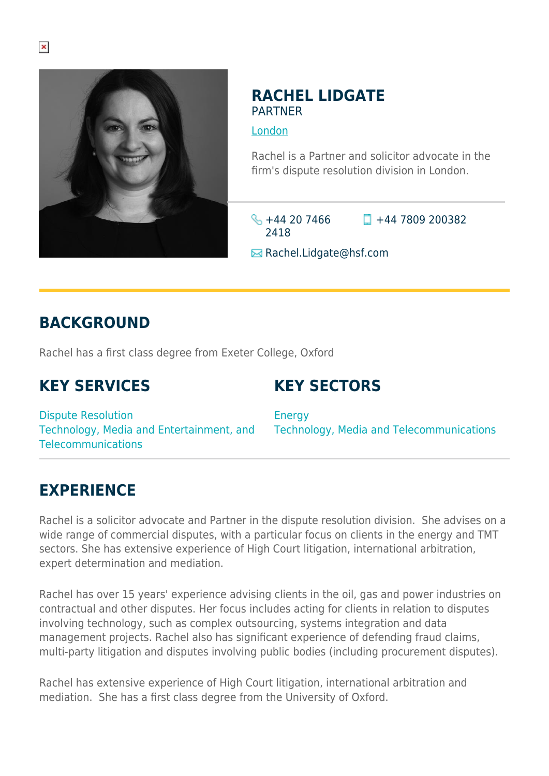

#### **RACHEL LIDGATE** PARTNER

[London](https://www.herbertsmithfreehills.com/lang-fr/where-we-work/london)

Rachel is a Partner and solicitor advocate in the firm's dispute resolution division in London.

 $\frac{1}{2}$  +44 20 7466 2418  $\Box$  +44 7809 200382

**E** Rachel.Lidgate@hsf.com

# **BACKGROUND**

Rachel has a first class degree from Exeter College, Oxford

# **KEY SERVICES**

## **KEY SECTORS**

Dispute Resolution Technology, Media and Entertainment, and Telecommunications

Energy Technology, Media and Telecommunications

## **EXPERIENCE**

Rachel is a solicitor advocate and Partner in the dispute resolution division. She advises on a wide range of commercial disputes, with a particular focus on clients in the energy and TMT sectors. She has extensive experience of High Court litigation, international arbitration, expert determination and mediation.

Rachel has over 15 years' experience advising clients in the oil, gas and power industries on contractual and other disputes. Her focus includes acting for clients in relation to disputes involving technology, such as complex outsourcing, systems integration and data management projects. Rachel also has significant experience of defending fraud claims, multi-party litigation and disputes involving public bodies (including procurement disputes).

Rachel has extensive experience of High Court litigation, international arbitration and mediation. She has a first class degree from the University of Oxford.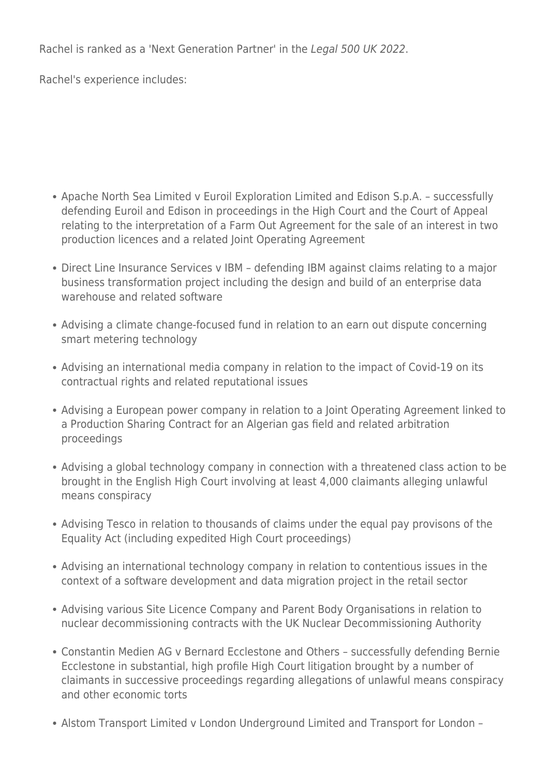Rachel is ranked as a 'Next Generation Partner' in the Legal 500 UK 2022.

Rachel's experience includes:

- Apache North Sea Limited v Euroil Exploration Limited and Edison S.p.A. successfully defending Euroil and Edison in proceedings in the High Court and the Court of Appeal relating to the interpretation of a Farm Out Agreement for the sale of an interest in two production licences and a related Joint Operating Agreement
- Direct Line Insurance Services v IBM defending IBM against claims relating to a major business transformation project including the design and build of an enterprise data warehouse and related software
- Advising a climate change-focused fund in relation to an earn out dispute concerning smart metering technology
- Advising an international media company in relation to the impact of Covid-19 on its contractual rights and related reputational issues
- Advising a European power company in relation to a Joint Operating Agreement linked to a Production Sharing Contract for an Algerian gas field and related arbitration proceedings
- Advising a global technology company in connection with a threatened class action to be brought in the English High Court involving at least 4,000 claimants alleging unlawful means conspiracy
- Advising Tesco in relation to thousands of claims under the equal pay provisons of the Equality Act (including expedited High Court proceedings)
- Advising an international technology company in relation to contentious issues in the context of a software development and data migration project in the retail sector
- Advising various Site Licence Company and Parent Body Organisations in relation to nuclear decommissioning contracts with the UK Nuclear Decommissioning Authority
- Constantin Medien AG v Bernard Ecclestone and Others successfully defending Bernie Ecclestone in substantial, high profile High Court litigation brought by a number of claimants in successive proceedings regarding allegations of unlawful means conspiracy and other economic torts
- Alstom Transport Limited v London Underground Limited and Transport for London –